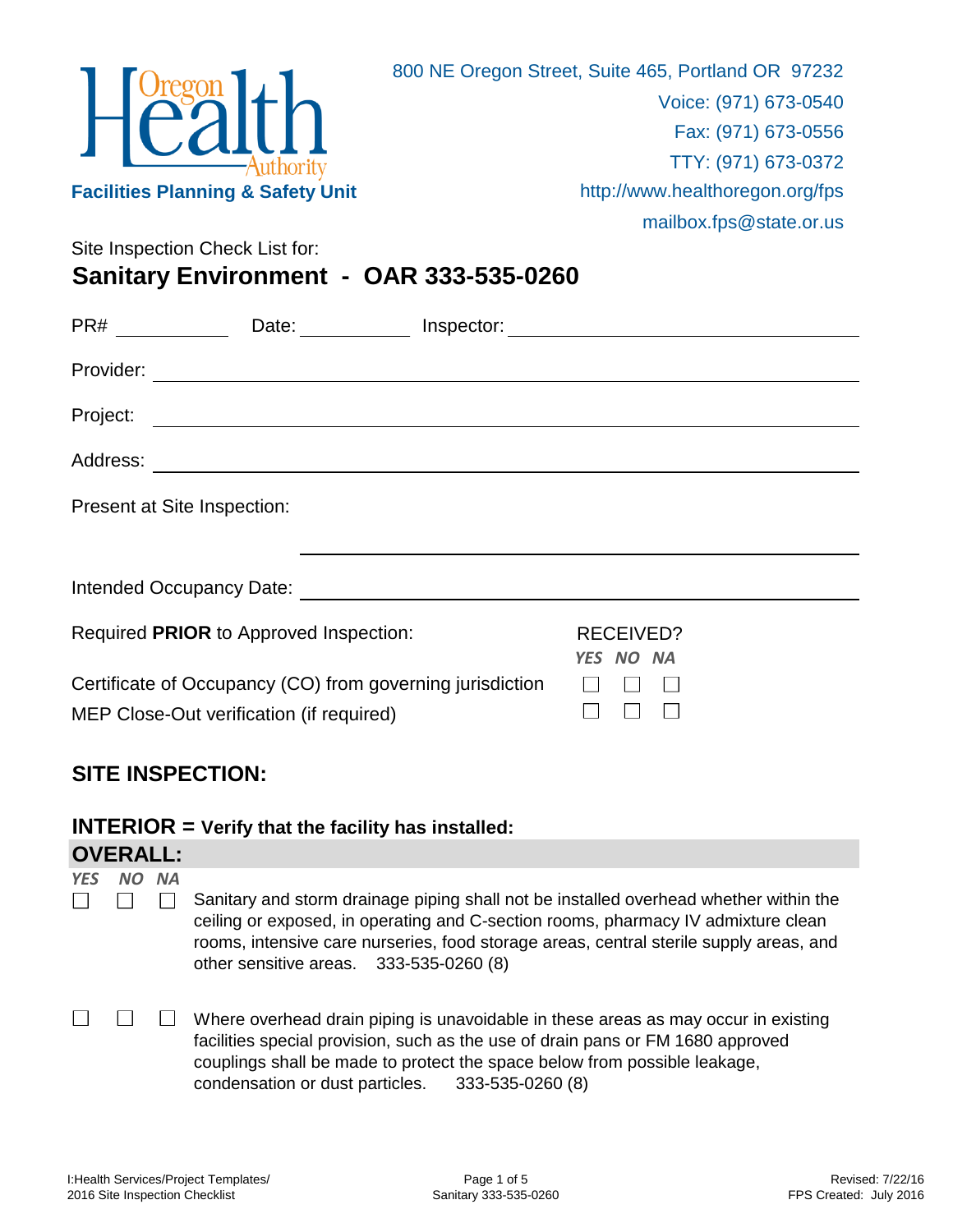

Site Inspection Check List for:

**Sanitary Environment - OAR 333-535-0260**

|          | Date: Inspector:                                                                                                                                                                                                                     |                               |  |
|----------|--------------------------------------------------------------------------------------------------------------------------------------------------------------------------------------------------------------------------------------|-------------------------------|--|
|          |                                                                                                                                                                                                                                      |                               |  |
| Project: |                                                                                                                                                                                                                                      |                               |  |
|          |                                                                                                                                                                                                                                      |                               |  |
|          | Present at Site Inspection:                                                                                                                                                                                                          |                               |  |
|          | Intended Occupancy Date: <u>contract and a series of the series of the series of the series of the series of the series of the series of the series of the series of the series of the series of the series of the series of the</u> |                               |  |
|          | Required PRIOR to Approved Inspection:                                                                                                                                                                                               | <b>RECEIVED?</b><br>YES NO NA |  |
|          | Certificate of Occupancy (CO) from governing jurisdiction<br>MEP Close-Out verification (if required)                                                                                                                                |                               |  |

## **SITE INSPECTION:**

**INTERIOR = Verify that the facility has installed:**

|            | <b>OVERALL:</b> |    |                                                                                                                                                                                                                                                                                                                 |  |
|------------|-----------------|----|-----------------------------------------------------------------------------------------------------------------------------------------------------------------------------------------------------------------------------------------------------------------------------------------------------------------|--|
| <b>YES</b> | NΟ              | ΝA | Sanitary and storm drainage piping shall not be installed overhead whether within the<br>ceiling or exposed, in operating and C-section rooms, pharmacy IV admixture clean<br>rooms, intensive care nurseries, food storage areas, central sterile supply areas, and<br>other sensitive areas. 333-535-0260 (8) |  |
|            |                 |    | Where overhead drain piping is unavoidable in these areas as may occur in existing<br>facilities special provision, such as the use of drain pans or FM 1680 approved<br>couplings shall be made to protect the space below from possible leakage,<br>condensation or dust particles. 333-535-0260 (8)          |  |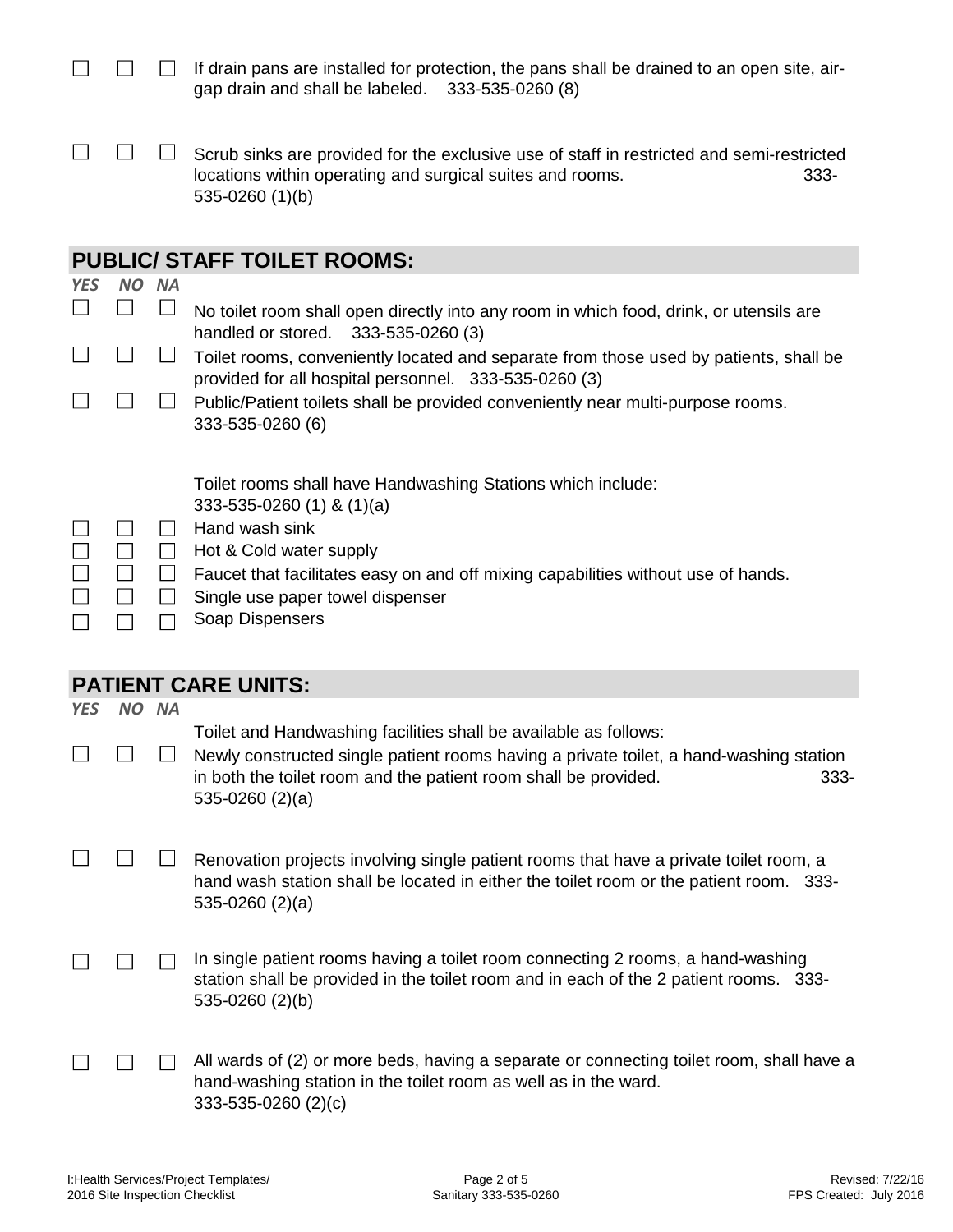|                |              |                                             | If drain pans are installed for protection, the pans shall be drained to an open site, air-<br>gap drain and shall be labeled. 333-535-0260 (8)                                                                                                                                     |
|----------------|--------------|---------------------------------------------|-------------------------------------------------------------------------------------------------------------------------------------------------------------------------------------------------------------------------------------------------------------------------------------|
|                |              |                                             | Scrub sinks are provided for the exclusive use of staff in restricted and semi-restricted<br>locations within operating and surgical suites and rooms.<br>$333 -$<br>535-0260 (1)(b)                                                                                                |
|                |              |                                             | <b>PUBLIC/ STAFF TOILET ROOMS:</b>                                                                                                                                                                                                                                                  |
| <b>YES</b>     | <b>NO</b>    | <b>NA</b>                                   |                                                                                                                                                                                                                                                                                     |
| $\blacksquare$ | $\mathbf{I}$ | $\Box$                                      | No toilet room shall open directly into any room in which food, drink, or utensils are<br>handled or stored. 333-535-0260 (3)                                                                                                                                                       |
|                |              | $\Box$                                      | Toilet rooms, conveniently located and separate from those used by patients, shall be<br>provided for all hospital personnel. 333-535-0260 (3)                                                                                                                                      |
|                |              | $\mathbf{I}$                                | Public/Patient toilets shall be provided conveniently near multi-purpose rooms.<br>333-535-0260 (6)                                                                                                                                                                                 |
|                | $\Box$       | $\mathbf{I}$<br>$\Box$<br>$\Box$<br>$\perp$ | Toilet rooms shall have Handwashing Stations which include:<br>333-535-0260 (1) & $(1)(a)$<br>Hand wash sink<br>Hot & Cold water supply<br>Faucet that facilitates easy on and off mixing capabilities without use of hands.<br>Single use paper towel dispenser<br>Soap Dispensers |
|                |              |                                             | <b>PATIENT CARE UNITS:</b>                                                                                                                                                                                                                                                          |
| <b>YES</b>     |              | NO NA                                       |                                                                                                                                                                                                                                                                                     |
| $\Box$         | $\Box$       | $\Box$                                      | Toilet and Handwashing facilities shall be available as follows:<br>Newly constructed single patient rooms having a private toilet, a hand-washing station<br>in both the toilet room and the patient room shall be provided.<br>333-<br>$535-0260(2)(a)$                           |
|                |              |                                             | Renovation projects involving single patient rooms that have a private toilet room, a<br>hand wash station shall be located in either the toilet room or the patient room. 333-<br>$535-0260(2)(a)$                                                                                 |
|                |              |                                             | In single patient rooms having a toilet room connecting 2 rooms, a hand-washing<br>station shall be provided in the toilet room and in each of the 2 patient rooms. 333-<br>535-0260 (2)(b)                                                                                         |
|                |              |                                             | All wards of (2) or more beds, having a separate or connecting toilet room, shall have a<br>hand-washing station in the toilet room as well as in the ward.<br>333-535-0260 (2)(c)                                                                                                  |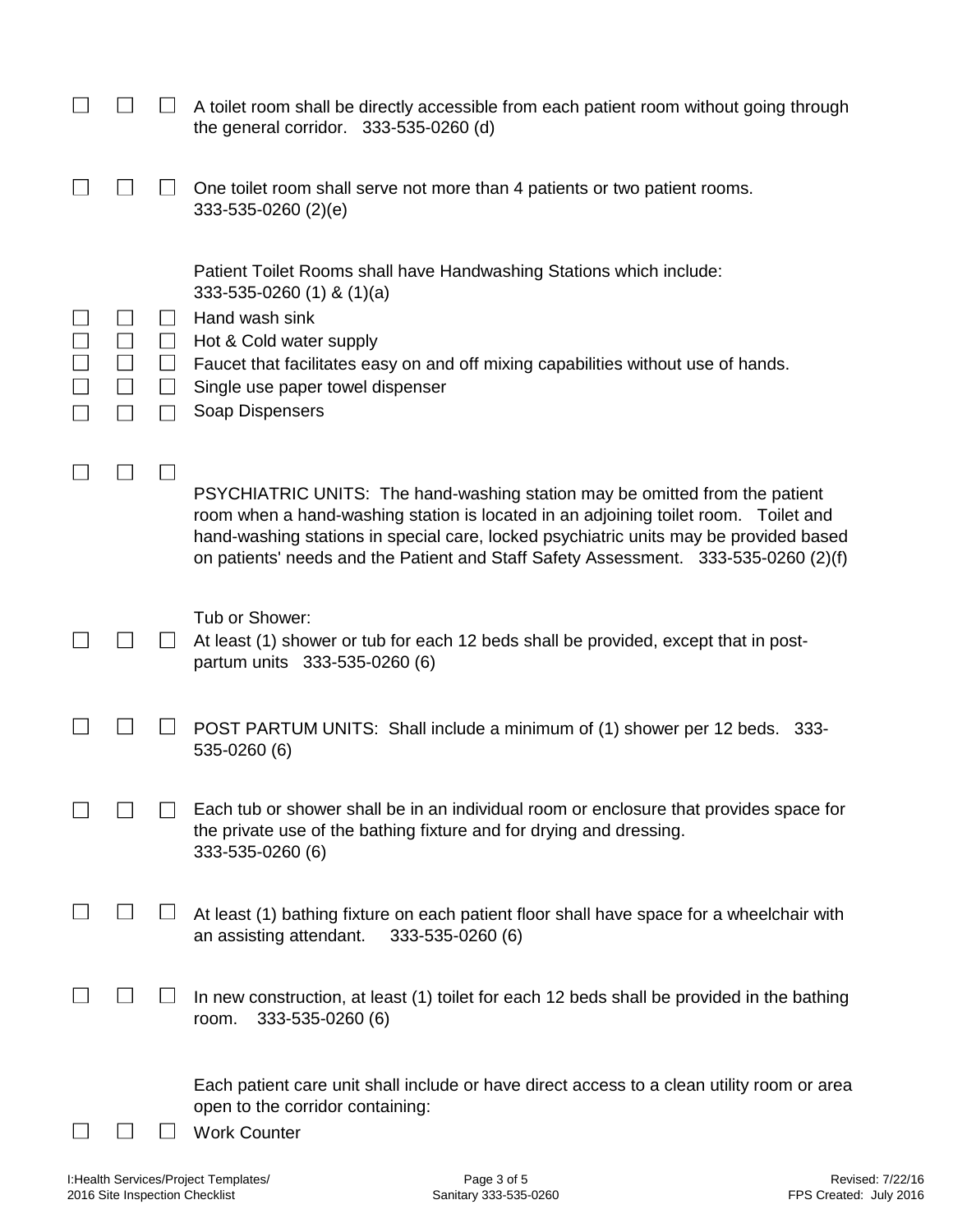|        |                                                                | A toilet room shall be directly accessible from each patient room without going through<br>the general corridor. 333-535-0260 (d)                                                                                                                                                                                                                  |
|--------|----------------------------------------------------------------|----------------------------------------------------------------------------------------------------------------------------------------------------------------------------------------------------------------------------------------------------------------------------------------------------------------------------------------------------|
|        |                                                                | One toilet room shall serve not more than 4 patients or two patient rooms.<br>333-535-0260 (2)(e)                                                                                                                                                                                                                                                  |
| $\Box$ | $\Box$<br>⊔<br>$\Box$<br>$\begin{array}{c} \hline \end{array}$ | Patient Toilet Rooms shall have Handwashing Stations which include:<br>$333 - 535 - 0260$ (1) & (1)(a)<br>Hand wash sink<br>Hot & Cold water supply<br>Faucet that facilitates easy on and off mixing capabilities without use of hands.<br>Single use paper towel dispenser<br>Soap Dispensers                                                    |
|        |                                                                | PSYCHIATRIC UNITS: The hand-washing station may be omitted from the patient<br>room when a hand-washing station is located in an adjoining toilet room. Toilet and<br>hand-washing stations in special care, locked psychiatric units may be provided based<br>on patients' needs and the Patient and Staff Safety Assessment. 333-535-0260 (2)(f) |
|        |                                                                | Tub or Shower:<br>At least (1) shower or tub for each 12 beds shall be provided, except that in post-<br>partum units 333-535-0260 (6)                                                                                                                                                                                                             |
|        |                                                                | POST PARTUM UNITS: Shall include a minimum of (1) shower per 12 beds. 333-<br>535-0260 (6)                                                                                                                                                                                                                                                         |
|        |                                                                | Each tub or shower shall be in an individual room or enclosure that provides space for<br>the private use of the bathing fixture and for drying and dressing.<br>333-535-0260 (6)                                                                                                                                                                  |
|        |                                                                | At least (1) bathing fixture on each patient floor shall have space for a wheelchair with<br>an assisting attendant.<br>333-535-0260 (6)                                                                                                                                                                                                           |
|        |                                                                | In new construction, at least (1) toilet for each 12 beds shall be provided in the bathing<br>333-535-0260 (6)<br>room.                                                                                                                                                                                                                            |
|        |                                                                | Each patient care unit shall include or have direct access to a clean utility room or area<br>open to the corridor containing:<br><b>Work Counter</b>                                                                                                                                                                                              |

I:Health Services/Project Templates/ 2016 Site Inspection Checklist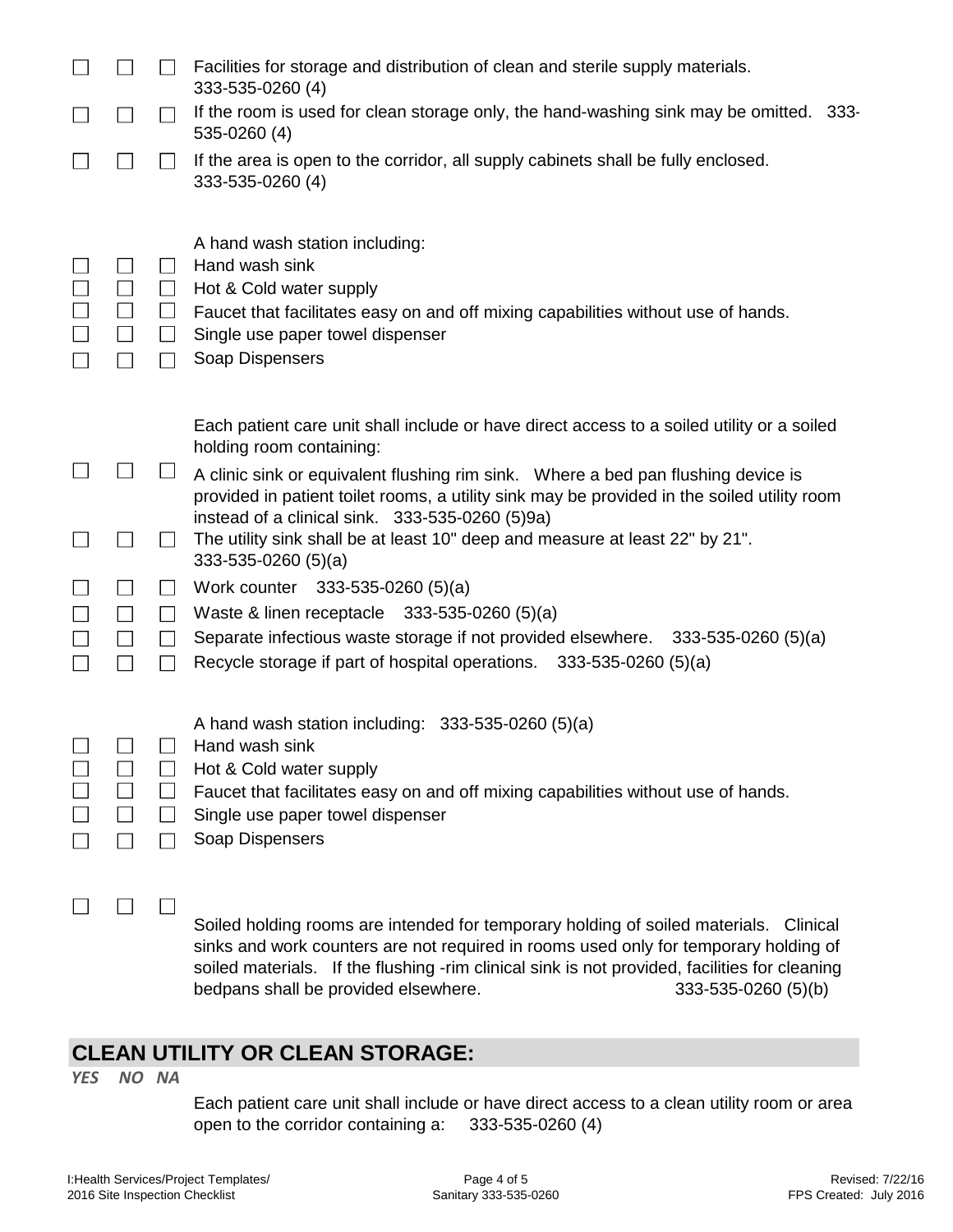|                |                                         | Facilities for storage and distribution of clean and sterile supply materials.<br>333-535-0260 (4)                                                                                                                                                                                                                  |
|----------------|-----------------------------------------|---------------------------------------------------------------------------------------------------------------------------------------------------------------------------------------------------------------------------------------------------------------------------------------------------------------------|
| $\blacksquare$ | $\blacksquare$                          | If the room is used for clean storage only, the hand-washing sink may be omitted. 333-<br>535-0260 (4)                                                                                                                                                                                                              |
|                |                                         | If the area is open to the corridor, all supply cabinets shall be fully enclosed.<br>333-535-0260 (4)                                                                                                                                                                                                               |
| $\Box$         | $\blacksquare$<br>⊔<br>$\Box$<br>$\Box$ | A hand wash station including:<br>Hand wash sink<br>Hot & Cold water supply<br>Faucet that facilitates easy on and off mixing capabilities without use of hands.<br>Single use paper towel dispenser<br>Soap Dispensers                                                                                             |
|                |                                         | Each patient care unit shall include or have direct access to a soiled utility or a soiled<br>holding room containing:                                                                                                                                                                                              |
|                |                                         | A clinic sink or equivalent flushing rim sink. Where a bed pan flushing device is<br>provided in patient toilet rooms, a utility sink may be provided in the soiled utility room<br>instead of a clinical sink. 333-535-0260 (5)9a)<br>The utility sink shall be at least 10" deep and measure at least 22" by 21". |
|                | $\Box$                                  | $333-535-0260(5)(a)$<br>Work counter 333-535-0260 (5)(a)                                                                                                                                                                                                                                                            |
|                | $\perp$                                 | Waste & linen receptacle 333-535-0260 (5)(a)                                                                                                                                                                                                                                                                        |
|                | $\perp$                                 | Separate infectious waste storage if not provided elsewhere. 333-535-0260 (5)(a)<br>Recycle storage if part of hospital operations. 333-535-0260 (5)(a)                                                                                                                                                             |
|                | $\Box$                                  | A hand wash station including: $333-535-0260$ (5)(a)<br>Hand wash sink<br>Hot & Cold water supply<br>Faucet that facilitates easy on and off mixing capabilities without use of hands.<br>Single use paper towel dispenser<br>Soap Dispensers                                                                       |
|                |                                         |                                                                                                                                                                                                                                                                                                                     |
|                |                                         | Soiled holding rooms are intended for temporary holding of soiled materials.<br>Clinical<br>sinks and work counters are not required in rooms used only for temporary holding of                                                                                                                                    |

soiled materials. If the flushing -rim clinical sink is not provided, facilities for cleaning bedpans shall be provided elsewhere. 333-535-0260 (5)(b)

## **CLEAN UTILITY OR CLEAN STORAGE:**

*YES NO NA*

Each patient care unit shall include or have direct access to a clean utility room or area open to the corridor containing a: 333-535-0260 (4)